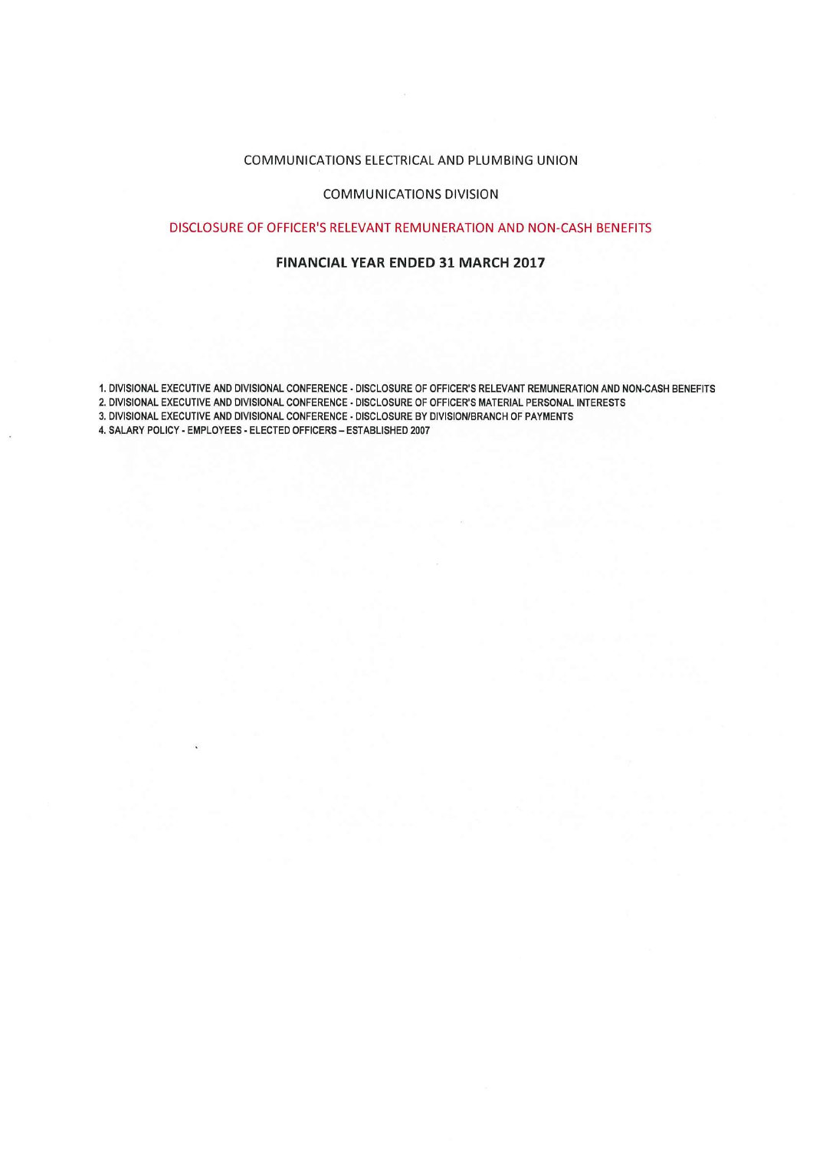# COMMUNICATIONS ELECTRICAL AND PLUMBING UNION

# COMMUNICATIONS DIVISION

## DISCLOSURE OF OFFICER'S RELEVANT REMUNERATION AND NON CASH BENEFITS

## **FINANCIAL YEAR ENDED 31 MARCH 2017**

I. DIVISIONAL EXECUTIVE AND DIVISIONAL CONFERENCE . DISCLOSURE OF OFFICER'S RELEVANT REMUNERATION AND NON. CASH BENEFITS

2. DIVISIONAL EXECUTIVE AND DIVISIONAL CONFERENCE - DISCLOSURE OF OFFICER'S MATERIAL PERSONAL INTERESTS

3. DIVISIONAL EXECUTIVE AND DIVISIONAL CONFERENCE - DISCLOSURE BY DIVISION/BRANCH OF PAYMENTS

4. SALARY POLICY - EMPLOYEES - ELECTED OFFICERS - ESTABLISHED 2007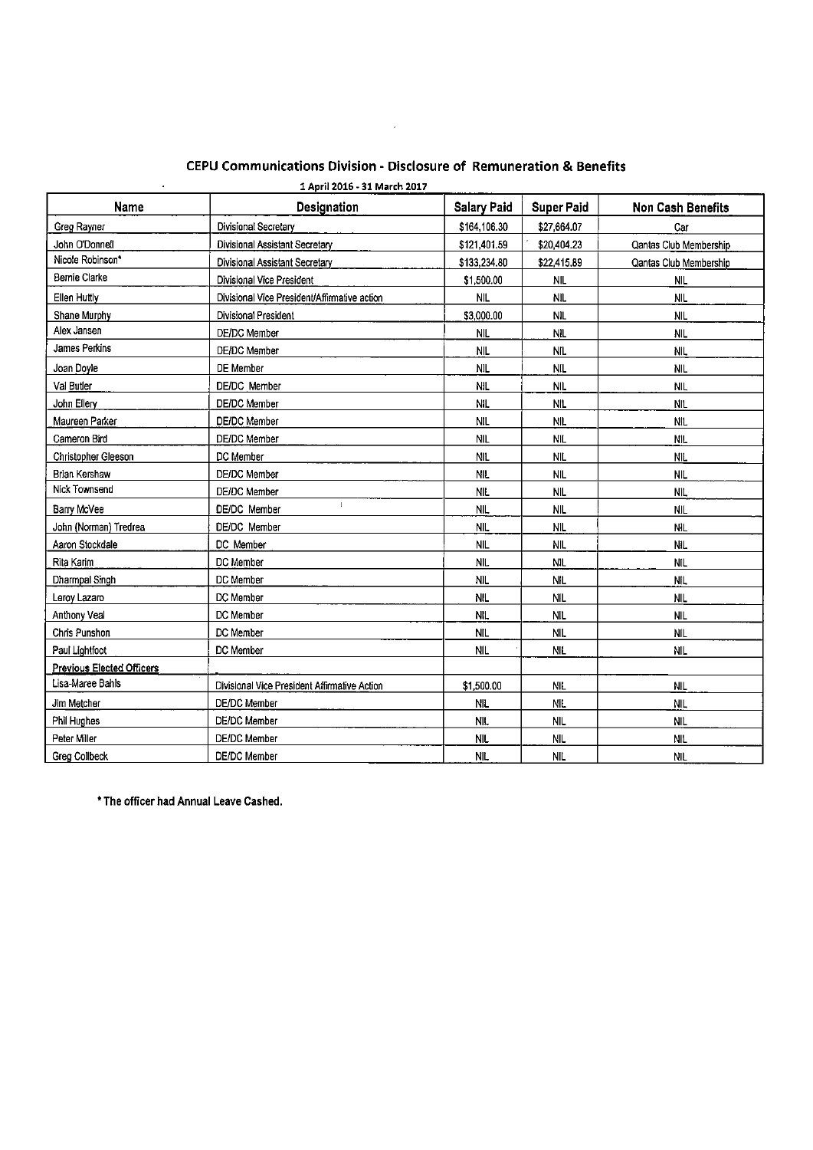| 1 April 2016 - 31 March 2017<br>$\bullet$ |                                              |                    |                   |                          |  |  |
|-------------------------------------------|----------------------------------------------|--------------------|-------------------|--------------------------|--|--|
| <b>Name</b>                               | Designation                                  | <b>Salary Paid</b> | <b>Super Paid</b> | <b>Non Cash Benefits</b> |  |  |
| Greg Rayner                               | Divisional Secretary                         | \$164,106.30       | \$27,664.07       | Car                      |  |  |
| John O'Donne!i                            | Divisional Assistant Secretary               | \$121,401.59       | \$20,404.23       | Qantas Club Membership   |  |  |
| Nicole Robinson*                          | Divisional Assistant Secretary               | \$133,234.80       | \$22,415.89       | Qantas Club Membership   |  |  |
| <b>Bernie Clarke</b>                      | Divisional Vice President                    | \$1,500.00         | <b>NIL</b>        | <b>NIL</b>               |  |  |
| Ellen Huttly                              | Divisional Vice President/Affirmative action | <b>NIL</b>         | <b>NIL</b>        | <b>NIL</b>               |  |  |
| Shane Murphy                              | Divisional President                         | \$3,000.00         | <b>NIL</b>        | <b>NIL</b>               |  |  |
| Alex Jansen                               | DE/DC Member                                 | <b>NIL</b>         | <b>NIL</b>        | <b>NIL</b>               |  |  |
| James Perkins                             | <b>DE/DC</b> Member                          | <b>NIL</b>         | <b>NIL</b>        | <b>NIL</b>               |  |  |
| Joan Doyle                                | DE Member                                    | <b>NIL</b>         | <b>NIL</b>        | <b>NIL</b>               |  |  |
| Val Butler                                | DE/DC Member                                 | <b>NIL</b>         | <b>NIL</b>        | NIL.                     |  |  |
| John Ellery                               | <b>DE/DC Member</b>                          | <b>NiL</b>         | <b>NIL</b>        | <b>NIL</b>               |  |  |
| Maureen Parker                            | DE/DC Member                                 | <b>NIL</b>         | NIL.              | NIL.                     |  |  |
| Cameron Bird                              | DE/DC Member                                 | <b>NIL</b>         | <b>NIL</b>        | <b>NIL</b>               |  |  |
| Christopher Gleeson                       | DC Member                                    | <b>NIL</b>         | <b>NIL</b>        | <b>NIL</b>               |  |  |
| Brian Kershaw                             | DE/DC Member                                 | <b>NIL</b>         | <b>NIL</b>        | <b>NIL</b>               |  |  |
| Nick Townsend                             | <b>DE/DC</b> Member                          | <b>NIL</b>         | NIL.              | NIL.                     |  |  |
| Barry McVee                               | $\mathbf{I}$<br>DE/DC Member                 | <b>NIL</b>         | <b>NIL</b>        | <b>NIL</b>               |  |  |
| John (Norman) Tredrea                     | <b>DE/DC</b> Member                          | <b>NIL</b>         | <b>NIL</b>        | <b>NIL</b>               |  |  |
| Aaron Stockdale                           | DC Member                                    | <b>NIL</b>         | <b>NIL</b>        | <b>NIL</b>               |  |  |
| Rita Karim                                | DC Member                                    | <b>NIL</b>         | <b>NIL</b>        | <b>NIL</b>               |  |  |
| Dharmpal Singh                            | DC Member                                    | <b>NIL</b>         | <b>NIL</b>        | <b>NIL</b>               |  |  |
| Leroy Lazaro                              | DC Member                                    | <b>NIL</b>         | <b>NIL</b>        | <b>NIL</b>               |  |  |
| Anthony Veal                              | DC Member                                    | NIL.               | <b>NIL</b>        | <b>NIL</b>               |  |  |
| Chris Punshon                             | DC Member                                    | <b>NIL</b>         | <b>NIL</b>        | <b>NIL</b>               |  |  |
| Paul Lightfoot                            | DC Member                                    | NIL.               | NIL               | <b>NIL</b>               |  |  |
| <b>Previous Elected Officers</b>          |                                              |                    |                   |                          |  |  |
| Lisa-Maree Bahls                          | Divisional Vice President Affirmative Action | \$1,500.00         | <b>NIL</b>        | <b>NIL</b>               |  |  |
| Jim Metcher                               | DE/DC Member                                 | <b>NIL</b>         | NIL.              | <b>NIL</b>               |  |  |
| Phil Hughes                               | DE/DC Member                                 | <b>NIL</b>         | <b>NIL</b>        | <b>NIL</b>               |  |  |
| Peter Miller                              | DE/DC Member                                 | <b>NIL</b>         | <b>NIL</b>        | <b>NIL</b>               |  |  |
| Greg Collbeck                             | DE/DC Member                                 | <b>NIL</b>         | <b>NIL</b>        | <b>NIL</b>               |  |  |

# CEPU Communications Division - Disclosure of Remuneration & Benefits

 $\sim 10^{11}$  km  $^{-1}$ 

\* The officer had Annual Leave Cashed.